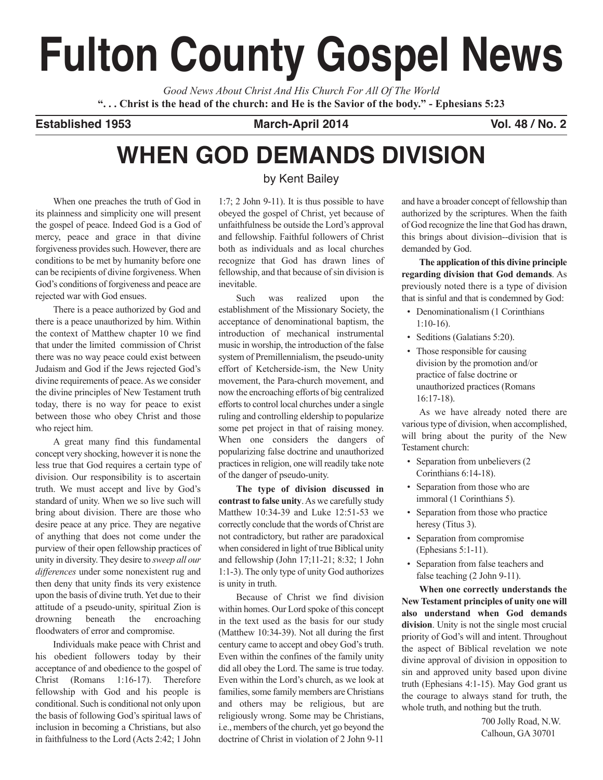# **Fulton County Gospel News**

*Good News About Christ And His Church For All Of The World* "... Christ is the head of the church: and He is the Savior of the body." - Ephesians 5:23

**Established 1953 March-April 2014 Vol. 48 / No. 2**

# **WHEN GOD DEMANDS DIVISION**

When one preaches the truth of God in its plainness and simplicity one will present the gospel of peace. Indeed God is a God of mercy, peace and grace in that divine forgiveness provides such. However, there are conditions to be met by humanity before one can be recipients of divine forgiveness. When God's conditions of forgiveness and peace are rejected war with God ensues.

There is a peace authorized by God and there is a peace unauthorized by him. Within the context of Matthew chapter 10 we find that under the limited commission of Christ there was no way peace could exist between Judaism and God if the Jews rejected God's divine requirements of peace.As we consider the divine principles of New Testament truth today, there is no way for peace to exist between those who obey Christ and those who reject him.

A great many find this fundamental concept very shocking, however it is none the less true that God requires a certain type of division. Our responsibility is to ascertain truth. We must accept and live by God's standard of unity. When we so live such will bring about division. There are those who desire peace at any price. They are negative of anything that does not come under the purview of their open fellowship practices of unity in diversity. They desire to *sweep all our differences* under some nonexistent rug and then deny that unity finds its very existence upon the basis of divine truth. Yet due to their attitude of a pseudo-unity, spiritual Zion is drowning beneath the encroaching floodwaters of error and compromise.

Individuals make peace with Christ and his obedient followers today by their acceptance of and obedience to the gospel of Christ (Romans 1:16-17). Therefore fellowship with God and his people is conditional. Such is conditional not only upon the basis of following God's spiritual laws of inclusion in becoming a Christians, but also in faithfulness to the Lord (Acts 2:42; 1 John

### by Kent Bailey

1:7; 2 John 9-11). It is thus possible to have obeyed the gospel of Christ, yet because of unfaithfulness be outside the Lord's approval and fellowship. Faithful followers of Christ both as individuals and as local churches recognize that God has drawn lines of fellowship, and that because of sin division is inevitable.

Such was realized upon the establishment of the Missionary Society, the acceptance of denominational baptism, the introduction of mechanical instrumental music in worship, the introduction of the false system of Premillennialism, the pseudo-unity effort of Ketcherside-ism, the New Unity movement, the Para-church movement, and now the encroaching efforts of big centralized efforts to control local churches under a single ruling and controlling eldership to popularize some pet project in that of raising money. When one considers the dangers of popularizing false doctrine and unauthorized practices in religion, one will readily take note of the danger of pseudo-unity.

**The type of division discussed in contrast to false unity**.As we carefully study Matthew 10:34-39 and Luke 12:51-53 we correctly conclude that the words of Christ are not contradictory, but rather are paradoxical when considered in light of true Biblical unity and fellowship (John 17;11-21; 8:32; 1 John 1:1-3). The only type of unity God authorizes is unity in truth.

Because of Christ we find division within homes. Our Lord spoke of this concept in the text used as the basis for our study (Matthew 10:34-39). Not all during the first century came to accept and obey God's truth. Even within the confines of the family unity did all obey the Lord. The same is true today. Even within the Lord's church, as we look at families, some family members are Christians and others may be religious, but are religiously wrong. Some may be Christians, i.e., members of the church, yet go beyond the doctrine of Christ in violation of 2 John 9-11

and have a broader concept of fellowship than authorized by the scriptures. When the faith of God recognize the line that God has drawn, this brings about division--division that is demanded by God.

**The application of this divine principle regarding division that God demands**. As previously noted there is a type of division that is sinful and that is condemned by God:

- Denominationalism (1 Corinthians 1:10-16).
- Seditions (Galatians 5:20).
- Those responsible for causing division by the promotion and/or practice of false doctrine or unauthorized practices (Romans 16:17-18).

As we have already noted there are various type of division, when accomplished, will bring about the purity of the New Testament church:

- Separation from unbelievers (2) Corinthians 6:14-18).
- Separation from those who are immoral (1 Corinthians 5).
- Separation from those who practice heresy (Titus 3).
- Separation from compromise (Ephesians 5:1-11).
- Separation from false teachers and false teaching (2 John 9-11).

**When one correctly understands the New Testament principles of unity one will also understand when God demands division**. Unity is not the single most crucial priority of God's will and intent. Throughout the aspect of Biblical revelation we note divine approval of division in opposition to sin and approved unity based upon divine truth (Ephesians 4:1-15). May God grant us the courage to always stand for truth, the whole truth, and nothing but the truth.

> 700 Jolly Road, N.W. Calhoun, GA 30701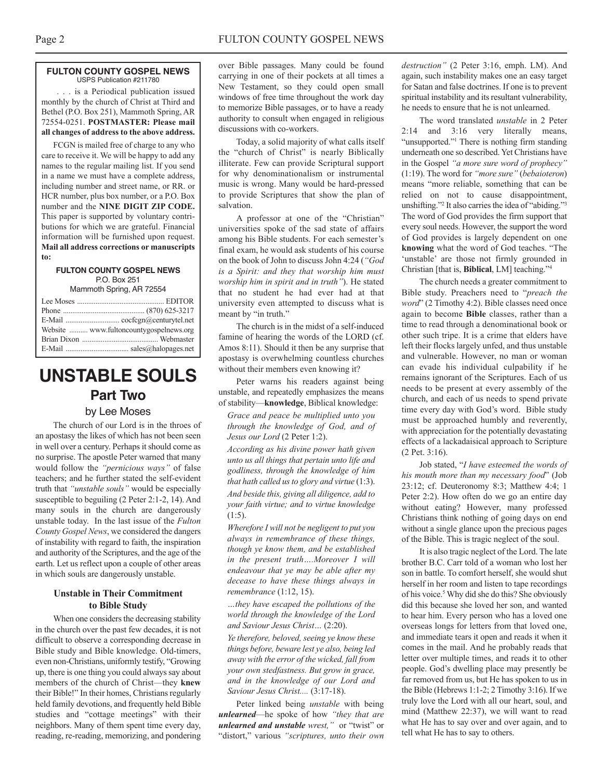#### **FULTON COUNTY GOSPEL NEWS** USPS Publication #211780

. . . is a Periodical publication issued monthly by the church of Christ at Third and Bethel (P.O. Box 251), Mammoth Spring, AR 72554-0251. **POSTMASTER: Please mail all changes of address to the above address.**

FCGN is mailed free of charge to any who care to receive it. We will be happy to add any names to the regular mailing list. If you send in a name we must have a complete address, including number and street name, or RR. or HCR number, plus box number, or a P.O. Box number and the **NINE DIGIT ZIP CODE.** This paper is supported by voluntary contributions for which we are grateful. Financial information will be furnished upon request. **Mail all address corrections or manuscripts to:**

#### **FULTON COUNTY GOSPEL NEWS** P.O. Box 251

Mammoth Spring, AR 72554

| Website  www.fultoncountygospelnews.org |
|-----------------------------------------|
|                                         |
|                                         |

## **UNSTABLE SOULS Part Two**

#### by Lee Moses

The church of our Lord is in the throes of an apostasy the likes of which has not been seen in well over a century. Perhaps it should come as no surprise. The apostle Peter warned that many would follow the *"pernicious ways"* of false teachers; and he further stated the self-evident truth that *"unstable souls"* would be especially susceptible to beguiling (2 Peter 2:1-2, 14). And many souls in the church are dangerously unstable today. In the last issue of the *Fulton County Gospel News*, we considered the dangers of instability with regard to faith, the inspiration and authority of the Scriptures, and the age of the earth. Let us reflect upon a couple of other areas in which souls are dangerously unstable.

#### **Unstable in Their Commitment to Bible Study**

When one considers the decreasing stability in the church over the past few decades, it is not difficult to observe a corresponding decrease in Bible study and Bible knowledge. Old-timers, even non-Christians, uniformly testify, "Growing up, there is one thing you could always say about members of the church of Christ—they **knew** their Bible!" In their homes, Christians regularly held family devotions, and frequently held Bible studies and "cottage meetings" with their neighbors. Many of them spent time every day, reading, re-reading, memorizing, and pondering

over Bible passages. Many could be found carrying in one of their pockets at all times a New Testament, so they could open small windows of free time throughout the work day to memorize Bible passages, or to have a ready authority to consult when engaged in religious discussions with co-workers.

Today, a solid majority of what calls itself the "church of Christ" is nearly Biblically illiterate. Few can provide Scriptural support for why denominationalism or instrumental music is wrong. Many would be hard-pressed to provide Scriptures that show the plan of salvation.

A professor at one of the "Christian" universities spoke of the sad state of affairs among his Bible students. For each semester's final exam, he would ask students of his course on the book of John to discuss John 4:24 (*"God is a Spirit: and they that worship him must worship him in spirit and in truth"*). He stated that no student he had ever had at that university even attempted to discuss what is meant by "in truth."

The church is in the midst of a self-induced famine of hearing the words of the LORD (cf. Amos 8:11). Should it then be any surprise that apostasy is overwhelming countless churches without their members even knowing it?

Peter warns his readers against being unstable, and repeatedly emphasizes the means of stability—**knowledge**, Biblical knowledge:

*Grace and peace be multiplied unto you through the knowledge of God, and of Jesus our Lord* (2 Peter 1:2).

*According as his divine power hath given unto us all things that pertain unto life and godliness, through the knowledge of him that hath called usto glory and virtue* (1:3). *And beside this, giving all diligence, add to your faith virtue; and to virtue knowledge* (1:5).

*Wherefore I will not be negligent to put you always in remembrance of these things, though ye know them, and be established in the present truth….Moreover I will endeavour that ye may be able after my decease to have these things always in remembrance* (1:12, 15).

*…they have escaped the pollutions of the world through the knowledge of the Lord and Saviour Jesus Christ…* (2:20).

*Ye therefore, beloved, seeing ye know these things before, beware lest ye also, being led away with the error of the wicked, fall from your own stedfastness. But grow in grace, and in the knowledge of our Lord and Saviour Jesus Christ....* (3:17-18).

Peter linked being *unstable* with being *unlearned*—he spoke of how *"they that are unlearned and unstable wrest,"* or "twist" or "distort," various *"scriptures, unto their own* *destruction"* (2 Peter 3:16, emph. LM). And again, such instability makes one an easy target for Satan and false doctrines. If one is to prevent spiritual instability and its resultant vulnerability, he needs to ensure that he is not unlearned.

The word translated *unstable* in 2 Peter 2:14 and 3:16 very literally means, "unsupported."<sup>1</sup> There is nothing firm standing underneath one so described. Yet Christians have in the Gospel *"a more sure word of prophecy"* (1:19). The word for *"more sure"* (*bebaioteron*) means "more reliable, something that can be relied on not to cause disappointment, unshifting."<sup>2</sup> It also carries the idea of "abiding."<sup>3</sup> The word of God provides the firm support that every soul needs. However, the support the word of God provides is largely dependent on one **knowing** what the word of God teaches. "The 'unstable' are those not firmly grounded in Christian [that is, **Biblical**, LM] teaching."4

The church needs a greater commitment to Bible study. Preachers need to "*preach the word*" (2 Timothy 4:2). Bible classes need once again to become **Bible** classes, rather than a time to read through a denominational book or other such tripe. It is a crime that elders have left their flocks largely unfed, and thus unstable and vulnerable. However, no man or woman can evade his individual culpability if he remains ignorant of the Scriptures. Each of us needs to be present at every assembly of the church, and each of us needs to spend private time every day with God's word. Bible study must be approached humbly and reverently, with appreciation for the potentially devastating effects of a lackadaisical approach to Scripture (2 Pet. 3:16).

Job stated, "*I have esteemed the words of his mouth more than my necessary food*" (Job 23:12; cf. Deuteronomy 8:3; Matthew 4:4; 1 Peter 2:2). How often do we go an entire day without eating? However, many professed Christians think nothing of going days on end without a single glance upon the precious pages of the Bible. This is tragic neglect of the soul.

It is also tragic neglect of the Lord. The late brother B.C. Carr told of a woman who lost her son in battle. To comfort herself, she would shut herself in her room and listen to tape recordings of his voice. <sup>5</sup> Why did she do this? She obviously did this because she loved her son, and wanted to hear him. Every person who has a loved one overseas longs for letters from that loved one, and immediate tears it open and reads it when it comes in the mail. And he probably reads that letter over multiple times, and reads it to other people. God's dwelling place may presently be far removed from us, but He has spoken to us in the Bible (Hebrews 1:1-2; 2 Timothy 3:16). If we truly love the Lord with all our heart, soul, and mind (Matthew 22:37), we will want to read what He has to say over and over again, and to tell what He has to say to others.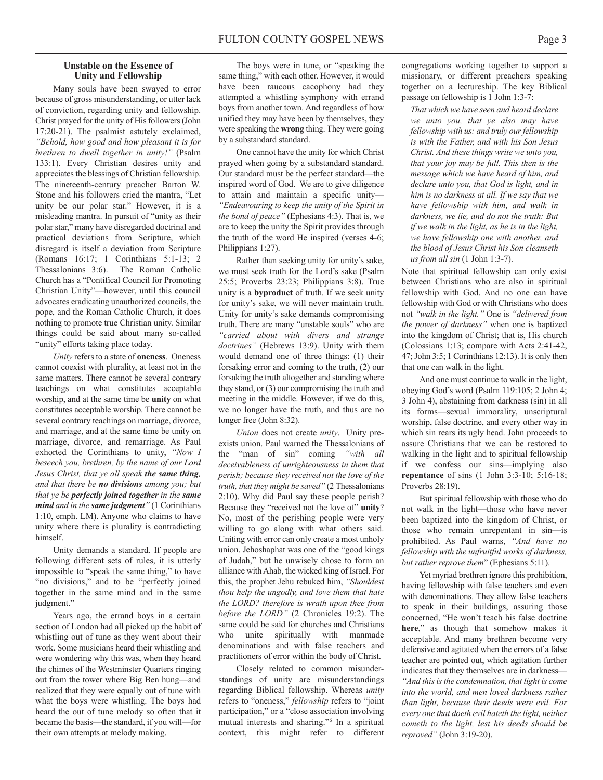#### **Unstable on the Essence of Unity and Fellowship**

Many souls have been swayed to error because of gross misunderstanding, or utter lack of conviction, regarding unity and fellowship. Christ prayed for the unity of His followers (John 17:20-21). The psalmist astutely exclaimed, *"Behold, how good and how pleasant it is for brethren to dwell together in unity!"* (Psalm 133:1). Every Christian desires unity and appreciates the blessings of Christian fellowship. The nineteenth-century preacher Barton W. Stone and his followers cried the mantra, "Let unity be our polar star." However, it is a misleading mantra. In pursuit of "unity as their polar star," many have disregarded doctrinal and practical deviations from Scripture, which disregard is itself a deviation from Scripture (Romans 16:17; 1 Corinthians 5:1-13; 2 Thessalonians 3:6). The Roman Catholic Church has a "Pontifical Council for Promoting Christian Unity"—however, until this council advocates eradicating unauthorized councils, the pope, and the Roman Catholic Church, it does nothing to promote true Christian unity. Similar things could be said about many so-called "unity" efforts taking place today.

*Unity* refers to a state of **oneness**. Oneness cannot coexist with plurality, at least not in the same matters. There cannot be several contrary teachings on what constitutes acceptable worship, and at the same time be **unity** on what constitutes acceptable worship. There cannot be several contrary teachings on marriage, divorce, and marriage, and at the same time be unity on marriage, divorce, and remarriage. As Paul exhorted the Corinthians to unity, *"Now I beseech you, brethren, by the name of our Lord Jesus Christ, that ye all speak the same thing, and that there be no divisions among you; but that ye be perfectly joined together in the same mind and in the same judgment"* (1 Corinthians 1:10, emph. LM). Anyone who claims to have unity where there is plurality is contradicting himself.

Unity demands a standard. If people are following different sets of rules, it is utterly impossible to "speak the same thing," to have "no divisions," and to be "perfectly joined together in the same mind and in the same judgment."

Years ago, the errand boys in a certain section of London had all picked up the habit of whistling out of tune as they went about their work. Some musicians heard their whistling and were wondering why this was, when they heard the chimes of the Westminster Quarters ringing out from the tower where Big Ben hung—and realized that they were equally out of tune with what the boys were whistling. The boys had heard the out of tune melody so often that it became the basis—the standard, if you will—for their own attempts at melody making.

The boys were in tune, or "speaking the same thing," with each other. However, it would have been raucous cacophony had they attempted a whistling symphony with errand boys from another town. And regardless of how unified they may have been by themselves, they were speaking the **wrong** thing. They were going by a substandard standard.

One cannot have the unity for which Christ prayed when going by a substandard standard. Our standard must be the perfect standard—the inspired word of God. We are to give diligence to attain and maintain a specific unity— *"Endeavouring to keep the unity of the Spirit in the bond of peace"* (Ephesians 4:3). That is, we are to keep the unity the Spirit provides through the truth of the word He inspired (verses 4-6; Philippians 1:27).

Rather than seeking unity for unity's sake, we must seek truth for the Lord's sake (Psalm 25:5; Proverbs 23:23; Philippians 3:8). True unity is a **byproduct** of truth. If we seek unity for unity's sake, we will never maintain truth. Unity for unity's sake demands compromising truth. There are many "unstable souls" who are *"carried about with divers and strange doctrines"* (Hebrews 13:9). Unity with them would demand one of three things: (1) their forsaking error and coming to the truth, (2) our forsaking the truth altogether and standing where they stand, or (3) our compromising the truth and meeting in the middle. However, if we do this, we no longer have the truth, and thus are no longer free (John 8:32).

*Union* does not create *unity*. Unity preexists union. Paul warned the Thessalonians of the "man of sin" coming *"with all deceivableness of unrighteousness in them that perish; because they received not the love of the truth, that they might be saved"* (2 Thessalonians 2:10). Why did Paul say these people perish? Because they "received not the love of" **unity**? No, most of the perishing people were very willing to go along with what others said. Uniting with error can only create a most unholy union. Jehoshaphat was one of the "good kings of Judah," but he unwisely chose to form an alliance withAhab, the wicked king of Israel. For this, the prophet Jehu rebuked him, *"Shouldest thou help the ungodly, and love them that hate the LORD? therefore is wrath upon thee from before the LORD"* (2 Chronicles 19:2). The same could be said for churches and Christians who unite spiritually with manmade denominations and with false teachers and practitioners of error within the body of Christ.

Closely related to common misunderstandings of unity are misunderstandings regarding Biblical fellowship. Whereas *unity* refers to "oneness," *fellowship* refers to "joint participation," or a "close association involving mutual interests and sharing."6 In a spiritual context, this might refer to different congregations working together to support a missionary, or different preachers speaking together on a lectureship. The key Biblical passage on fellowship is 1 John 1:3-7:

*That which we have seen and heard declare we unto you, that ye also may have fellowship with us: and truly our fellowship is with the Father, and with his Son Jesus Christ. And these things write we unto you, that your joy may be full. This then is the message which we have heard of him, and declare unto you, that God is light, and in him is no darkness at all. If we say that we have fellowship with him, and walk in darkness, we lie, and do not the truth: But if we walk in the light, as he is in the light, we have fellowship one with another, and the blood of Jesus Christ his Son cleanseth us from all sin* (1 John 1:3-7).

Note that spiritual fellowship can only exist between Christians who are also in spiritual fellowship with God. And no one can have fellowship with God or with Christians who does not *"walk in the light."* One is *"delivered from the power of darkness"* when one is baptized into the kingdom of Christ; that is, His church (Colossians 1:13; compare with Acts 2:41-42,  $47$ ; John  $3:5$ ; 1 Corinthians 12:13). It is only then that one can walk in the light.

And one must continue to walk in the light, obeying God's word (Psalm 119:105; 2 John 4; 3 John 4), abstaining from darkness (sin) in all its forms—sexual immorality, unscriptural worship, false doctrine, and every other way in which sin rears its ugly head. John proceeds to assure Christians that we can be restored to walking in the light and to spiritual fellowship if we confess our sins—implying also **repentance** of sins (1 John 3:3-10; 5:16-18; Proverbs 28:19).

But spiritual fellowship with those who do not walk in the light—those who have never been baptized into the kingdom of Christ, or those who remain unrepentant in sin—is prohibited. As Paul warns, *"And have no fellowship with the unfruitful works of darkness, but rather reprove them*" (Ephesians 5:11).

Yet myriad brethren ignore this prohibition, having fellowship with false teachers and even with denominations. They allow false teachers to speak in their buildings, assuring those concerned, "He won't teach his false doctrine **here**," as though that somehow makes it acceptable. And many brethren become very defensive and agitated when the errors of a false teacher are pointed out, which agitation further indicates that they themselves are in darkness— *"And thisisthe condemnation, that light is come into the world, and men loved darkness rather than light, because their deeds were evil. For every one that doeth evil hateth the light, neither cometh to the light, lest his deeds should be reproved"* (John 3:19-20).